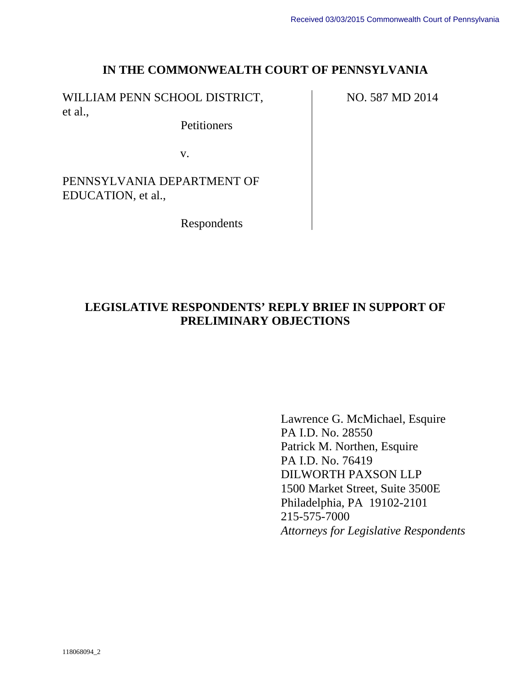#### **IN THE COMMONWEALTH COURT OF PENNSYLVANIA**

WILLIAM PENN SCHOOL DISTRICT, et al.,

**Petitioners** 

v.

PENNSYLVANIA DEPARTMENT OF EDUCATION, et al.,

Respondents

# **LEGISLATIVE RESPONDENTS' REPLY BRIEF IN SUPPORT OF PRELIMINARY OBJECTIONS**

Lawrence G. McMichael, Esquire PA I.D. No. 28550 Patrick M. Northen, Esquire PA I.D. No. 76419 DILWORTH PAXSON LLP 1500 Market Street, Suite 3500E Philadelphia, PA 19102-2101 215-575-7000 *Attorneys for Legislative Respondents* 

NO. 587 MD 2014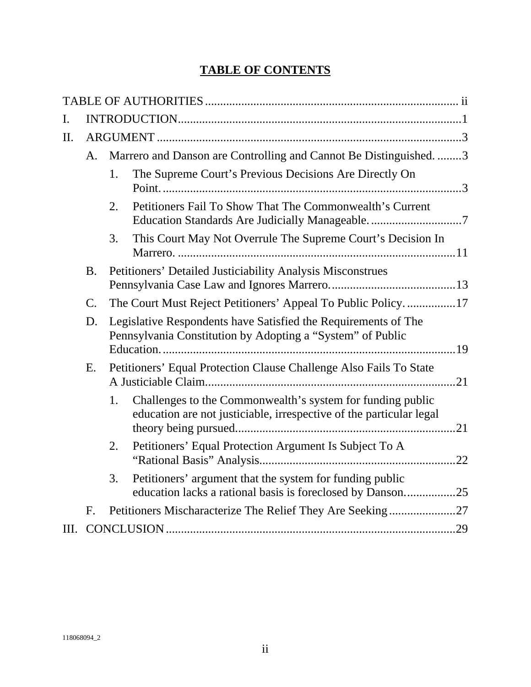# **TABLE OF CONTENTS**

| I.        |    |                                                                                                                              |                                                                                                                                   |  |  |
|-----------|----|------------------------------------------------------------------------------------------------------------------------------|-----------------------------------------------------------------------------------------------------------------------------------|--|--|
| $\Pi$ .   |    |                                                                                                                              |                                                                                                                                   |  |  |
|           | A. | Marrero and Danson are Controlling and Cannot Be Distinguished. 3                                                            |                                                                                                                                   |  |  |
|           |    | 1.                                                                                                                           | The Supreme Court's Previous Decisions Are Directly On                                                                            |  |  |
|           |    | 2.                                                                                                                           | Petitioners Fail To Show That The Commonwealth's Current                                                                          |  |  |
|           |    | 3.                                                                                                                           | This Court May Not Overrule The Supreme Court's Decision In                                                                       |  |  |
| <b>B.</b> |    |                                                                                                                              | Petitioners' Detailed Justiciability Analysis Misconstrues                                                                        |  |  |
|           | C. |                                                                                                                              | The Court Must Reject Petitioners' Appeal To Public Policy17                                                                      |  |  |
|           | D. | Legislative Respondents have Satisfied the Requirements of The<br>Pennsylvania Constitution by Adopting a "System" of Public |                                                                                                                                   |  |  |
|           | Ε. | Petitioners' Equal Protection Clause Challenge Also Fails To State                                                           |                                                                                                                                   |  |  |
|           |    | 1.                                                                                                                           | Challenges to the Commonwealth's system for funding public<br>education are not justiciable, irrespective of the particular legal |  |  |
|           |    | 2.                                                                                                                           | Petitioners' Equal Protection Argument Is Subject To A                                                                            |  |  |
|           |    | 3.                                                                                                                           | Petitioners' argument that the system for funding public<br>education lacks a rational basis is foreclosed by Danson25            |  |  |
|           | F. |                                                                                                                              | Petitioners Mischaracterize The Relief They Are Seeking27                                                                         |  |  |
|           |    |                                                                                                                              |                                                                                                                                   |  |  |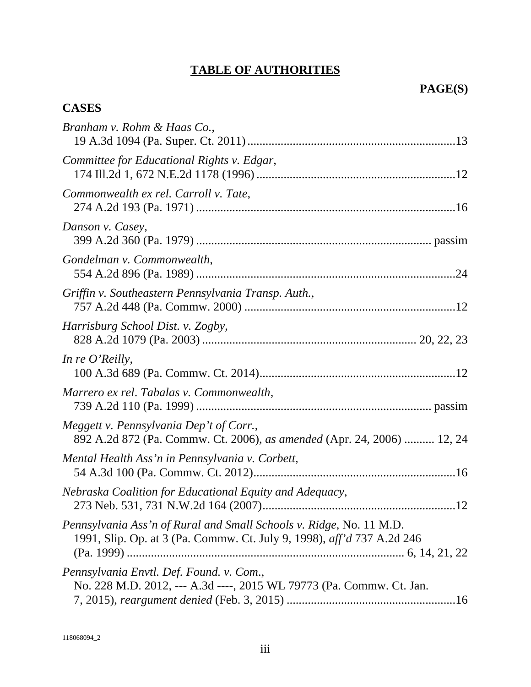# **TABLE OF AUTHORITIES**

# **CASES**

| Branham v. Rohm & Haas Co.,                                                                                                                   |
|-----------------------------------------------------------------------------------------------------------------------------------------------|
| Committee for Educational Rights v. Edgar,                                                                                                    |
| Commonwealth ex rel. Carroll v. Tate,                                                                                                         |
| Danson v. Casey,                                                                                                                              |
| Gondelman v. Commonwealth,                                                                                                                    |
| Griffin v. Southeastern Pennsylvania Transp. Auth.,                                                                                           |
| Harrisburg School Dist. v. Zogby,                                                                                                             |
| In re $O'$ Reilly,                                                                                                                            |
| Marrero ex rel. Tabalas v. Commonwealth,                                                                                                      |
| Meggett v. Pennsylvania Dep't of Corr.,<br>892 A.2d 872 (Pa. Commw. Ct. 2006), as amended (Apr. 24, 2006)  12, 24                             |
| Mental Health Ass'n in Pennsylvania v. Corbett,                                                                                               |
| Nebraska Coalition for Educational Equity and Adequacy,                                                                                       |
| Pennsylvania Ass'n of Rural and Small Schools v. Ridge, No. 11 M.D.<br>1991, Slip. Op. at 3 (Pa. Commw. Ct. July 9, 1998), aff'd 737 A.2d 246 |
| Pennsylvania Envtl. Def. Found. v. Com.,<br>No. 228 M.D. 2012, --- A.3d ----, 2015 WL 79773 (Pa. Commw. Ct. Jan.                              |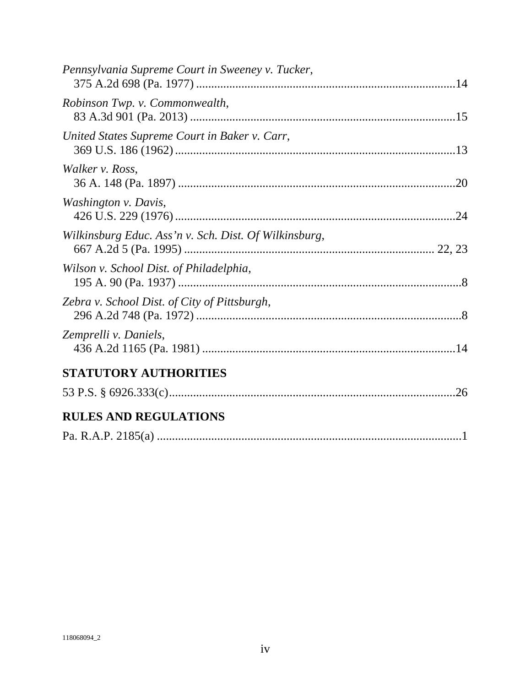| Pennsylvania Supreme Court in Sweeney v. Tucker,      |  |
|-------------------------------------------------------|--|
| Robinson Twp. v. Commonwealth,                        |  |
| United States Supreme Court in Baker v. Carr,         |  |
| Walker v. Ross,                                       |  |
| Washington v. Davis,                                  |  |
| Wilkinsburg Educ. Ass'n v. Sch. Dist. Of Wilkinsburg, |  |
| Wilson v. School Dist. of Philadelphia,               |  |
| Zebra v. School Dist. of City of Pittsburgh,          |  |
| Zemprelli v. Daniels,                                 |  |
| STATUTORY AUTHORITIES                                 |  |
|                                                       |  |
| <b>RULES AND REGULATIONS</b>                          |  |
|                                                       |  |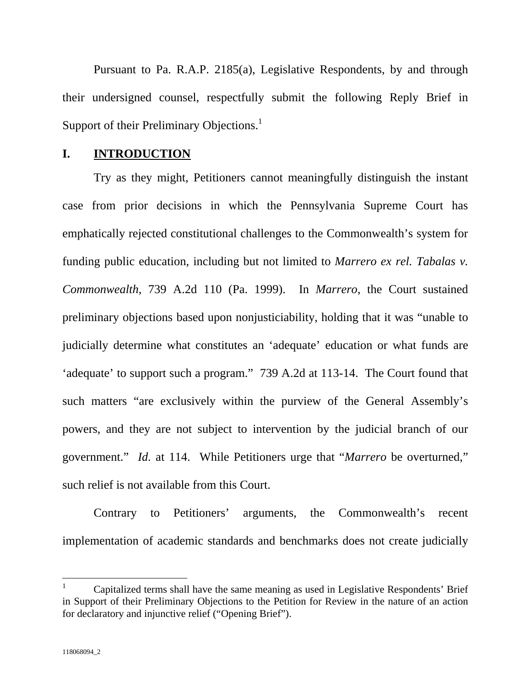Pursuant to Pa. R.A.P. 2185(a), Legislative Respondents, by and through their undersigned counsel, respectfully submit the following Reply Brief in Support of their Preliminary Objections.<sup>1</sup>

#### **I. INTRODUCTION**

Try as they might, Petitioners cannot meaningfully distinguish the instant case from prior decisions in which the Pennsylvania Supreme Court has emphatically rejected constitutional challenges to the Commonwealth's system for funding public education, including but not limited to *Marrero ex rel. Tabalas v. Commonwealth*, 739 A.2d 110 (Pa. 1999). In *Marrero*, the Court sustained preliminary objections based upon nonjusticiability, holding that it was "unable to judicially determine what constitutes an 'adequate' education or what funds are 'adequate' to support such a program." 739 A.2d at 113-14. The Court found that such matters "are exclusively within the purview of the General Assembly's powers, and they are not subject to intervention by the judicial branch of our government." *Id.* at 114. While Petitioners urge that "*Marrero* be overturned," such relief is not available from this Court.

Contrary to Petitioners' arguments, the Commonwealth's recent implementation of academic standards and benchmarks does not create judicially

 $\overline{a}$ 

<sup>1</sup> Capitalized terms shall have the same meaning as used in Legislative Respondents' Brief in Support of their Preliminary Objections to the Petition for Review in the nature of an action for declaratory and injunctive relief ("Opening Brief").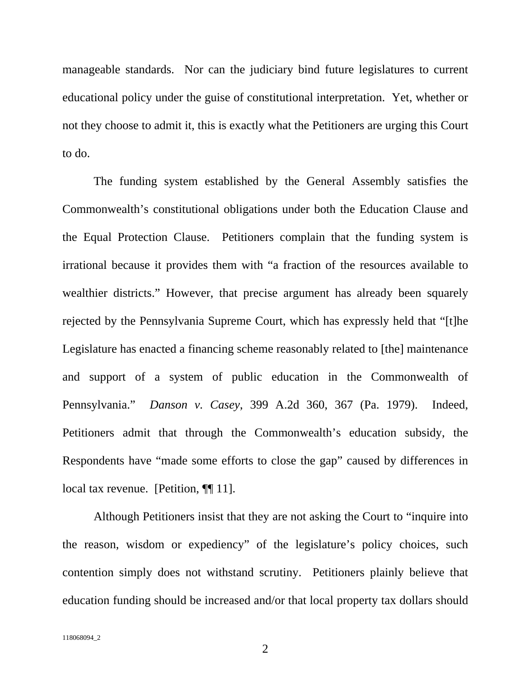manageable standards. Nor can the judiciary bind future legislatures to current educational policy under the guise of constitutional interpretation. Yet, whether or not they choose to admit it, this is exactly what the Petitioners are urging this Court to do.

The funding system established by the General Assembly satisfies the Commonwealth's constitutional obligations under both the Education Clause and the Equal Protection Clause. Petitioners complain that the funding system is irrational because it provides them with "a fraction of the resources available to wealthier districts." However, that precise argument has already been squarely rejected by the Pennsylvania Supreme Court, which has expressly held that "[t]he Legislature has enacted a financing scheme reasonably related to [the] maintenance and support of a system of public education in the Commonwealth of Pennsylvania." *Danson v. Casey*, 399 A.2d 360, 367 (Pa. 1979). Indeed, Petitioners admit that through the Commonwealth's education subsidy, the Respondents have "made some efforts to close the gap" caused by differences in local tax revenue. [Petition, ¶[11].

Although Petitioners insist that they are not asking the Court to "inquire into the reason, wisdom or expediency" of the legislature's policy choices, such contention simply does not withstand scrutiny. Petitioners plainly believe that education funding should be increased and/or that local property tax dollars should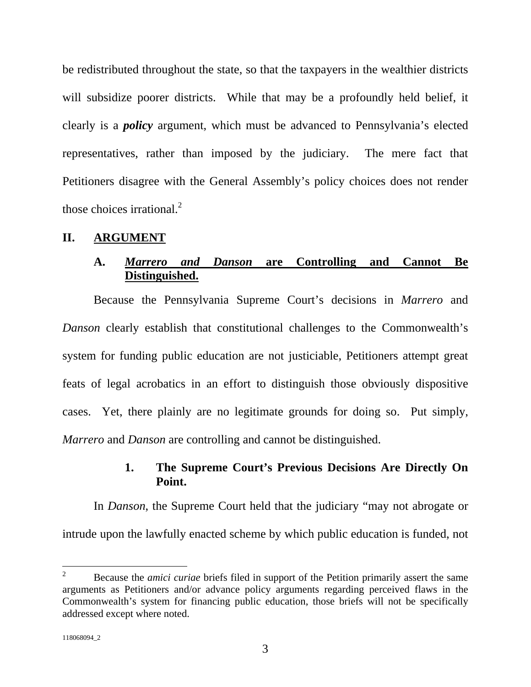be redistributed throughout the state, so that the taxpayers in the wealthier districts will subsidize poorer districts. While that may be a profoundly held belief, it clearly is a *policy* argument, which must be advanced to Pennsylvania's elected representatives, rather than imposed by the judiciary. The mere fact that Petitioners disagree with the General Assembly's policy choices does not render those choices irrational. $^{2}$ 

#### **II. ARGUMENT**

## **A.** *Marrero and Danson* **are Controlling and Cannot Be Distinguished.**

Because the Pennsylvania Supreme Court's decisions in *Marrero* and *Danson* clearly establish that constitutional challenges to the Commonwealth's system for funding public education are not justiciable, Petitioners attempt great feats of legal acrobatics in an effort to distinguish those obviously dispositive cases. Yet, there plainly are no legitimate grounds for doing so. Put simply, *Marrero* and *Danson* are controlling and cannot be distinguished.

## **1. The Supreme Court's Previous Decisions Are Directly On Point.**

In *Danson*, the Supreme Court held that the judiciary "may not abrogate or intrude upon the lawfully enacted scheme by which public education is funded, not

 $\frac{1}{2}$  Because the *amici curiae* briefs filed in support of the Petition primarily assert the same arguments as Petitioners and/or advance policy arguments regarding perceived flaws in the Commonwealth's system for financing public education, those briefs will not be specifically addressed except where noted.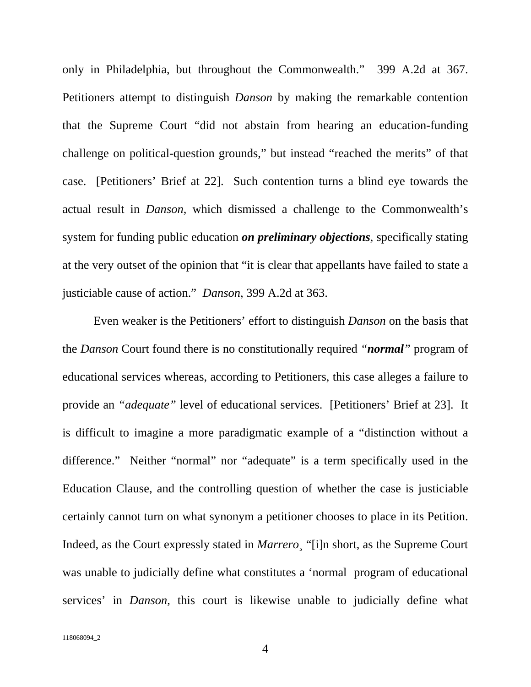only in Philadelphia, but throughout the Commonwealth." 399 A.2d at 367. Petitioners attempt to distinguish *Danson* by making the remarkable contention that the Supreme Court "did not abstain from hearing an education-funding challenge on political-question grounds," but instead "reached the merits" of that case. [Petitioners' Brief at 22]. Such contention turns a blind eye towards the actual result in *Danson*, which dismissed a challenge to the Commonwealth's system for funding public education *on preliminary objections*, specifically stating at the very outset of the opinion that "it is clear that appellants have failed to state a justiciable cause of action." *Danson*, 399 A.2d at 363.

Even weaker is the Petitioners' effort to distinguish *Danson* on the basis that the *Danson* Court found there is no constitutionally required *"normal"* program of educational services whereas, according to Petitioners, this case alleges a failure to provide an *"adequate"* level of educational services. [Petitioners' Brief at 23]. It is difficult to imagine a more paradigmatic example of a "distinction without a difference." Neither "normal" nor "adequate" is a term specifically used in the Education Clause, and the controlling question of whether the case is justiciable certainly cannot turn on what synonym a petitioner chooses to place in its Petition. Indeed, as the Court expressly stated in *Marrero¸* "[i]n short, as the Supreme Court was unable to judicially define what constitutes a 'normal program of educational services' in *Danson*, this court is likewise unable to judicially define what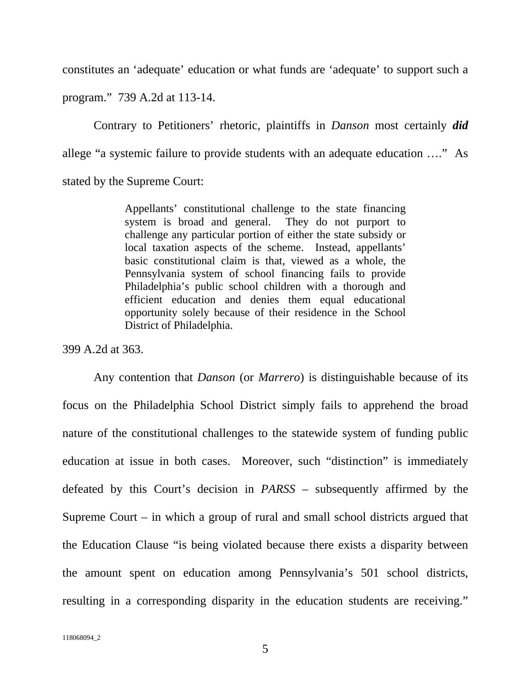constitutes an 'adequate' education or what funds are 'adequate' to support such a program." 739 A.2d at 113-14.

Contrary to Petitioners' rhetoric, plaintiffs in *Danson* most certainly *did* allege "a systemic failure to provide students with an adequate education …." As stated by the Supreme Court:

> Appellants' constitutional challenge to the state financing system is broad and general. They do not purport to challenge any particular portion of either the state subsidy or local taxation aspects of the scheme. Instead, appellants' basic constitutional claim is that, viewed as a whole, the Pennsylvania system of school financing fails to provide Philadelphia's public school children with a thorough and efficient education and denies them equal educational opportunity solely because of their residence in the School District of Philadelphia.

399 A.2d at 363.

Any contention that *Danson* (or *Marrero*) is distinguishable because of its focus on the Philadelphia School District simply fails to apprehend the broad nature of the constitutional challenges to the statewide system of funding public education at issue in both cases. Moreover, such "distinction" is immediately defeated by this Court's decision in *PARSS* – subsequently affirmed by the Supreme Court – in which a group of rural and small school districts argued that the Education Clause "is being violated because there exists a disparity between the amount spent on education among Pennsylvania's 501 school districts, resulting in a corresponding disparity in the education students are receiving."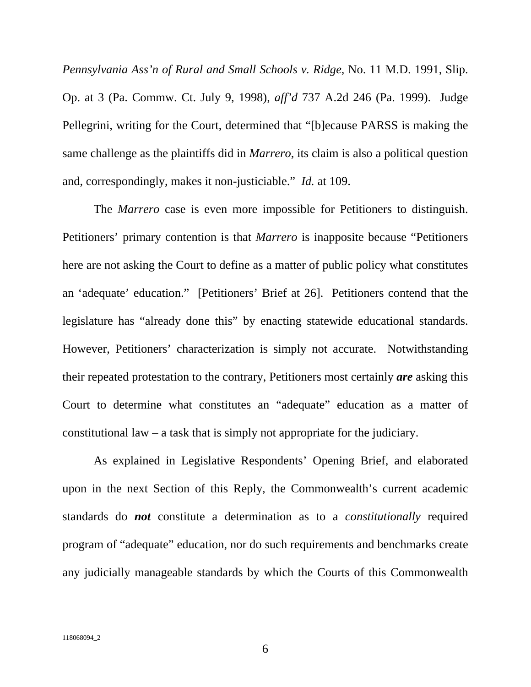*Pennsylvania Ass'n of Rural and Small Schools v. Ridge*, No. 11 M.D. 1991, Slip. Op. at 3 (Pa. Commw. Ct. July 9, 1998), *aff'd* 737 A.2d 246 (Pa. 1999). Judge Pellegrini, writing for the Court, determined that "[b]ecause PARSS is making the same challenge as the plaintiffs did in *Marrero*, its claim is also a political question and, correspondingly, makes it non-justiciable." *Id.* at 109.

The *Marrero* case is even more impossible for Petitioners to distinguish. Petitioners' primary contention is that *Marrero* is inapposite because "Petitioners here are not asking the Court to define as a matter of public policy what constitutes an 'adequate' education." [Petitioners' Brief at 26]. Petitioners contend that the legislature has "already done this" by enacting statewide educational standards. However, Petitioners' characterization is simply not accurate. Notwithstanding their repeated protestation to the contrary, Petitioners most certainly *are* asking this Court to determine what constitutes an "adequate" education as a matter of constitutional law – a task that is simply not appropriate for the judiciary.

As explained in Legislative Respondents' Opening Brief, and elaborated upon in the next Section of this Reply, the Commonwealth's current academic standards do *not* constitute a determination as to a *constitutionally* required program of "adequate" education, nor do such requirements and benchmarks create any judicially manageable standards by which the Courts of this Commonwealth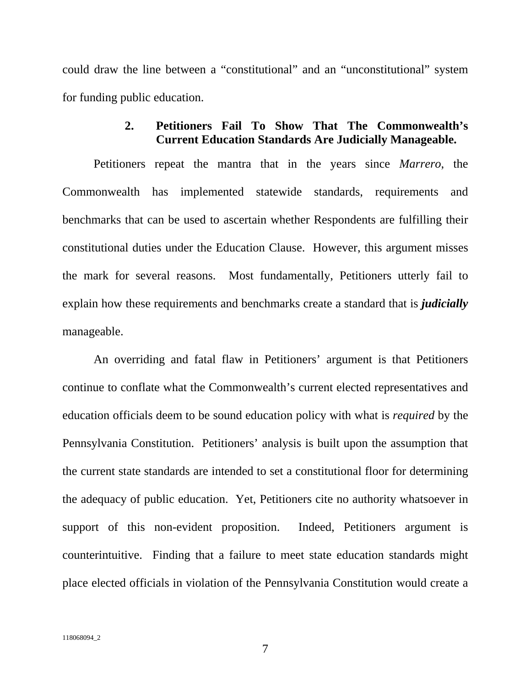could draw the line between a "constitutional" and an "unconstitutional" system for funding public education.

## **2. Petitioners Fail To Show That The Commonwealth's Current Education Standards Are Judicially Manageable.**

Petitioners repeat the mantra that in the years since *Marrero*, the Commonwealth has implemented statewide standards, requirements and benchmarks that can be used to ascertain whether Respondents are fulfilling their constitutional duties under the Education Clause. However, this argument misses the mark for several reasons. Most fundamentally, Petitioners utterly fail to explain how these requirements and benchmarks create a standard that is *judicially* manageable.

An overriding and fatal flaw in Petitioners' argument is that Petitioners continue to conflate what the Commonwealth's current elected representatives and education officials deem to be sound education policy with what is *required* by the Pennsylvania Constitution. Petitioners' analysis is built upon the assumption that the current state standards are intended to set a constitutional floor for determining the adequacy of public education. Yet, Petitioners cite no authority whatsoever in support of this non-evident proposition. Indeed, Petitioners argument is counterintuitive. Finding that a failure to meet state education standards might place elected officials in violation of the Pennsylvania Constitution would create a

7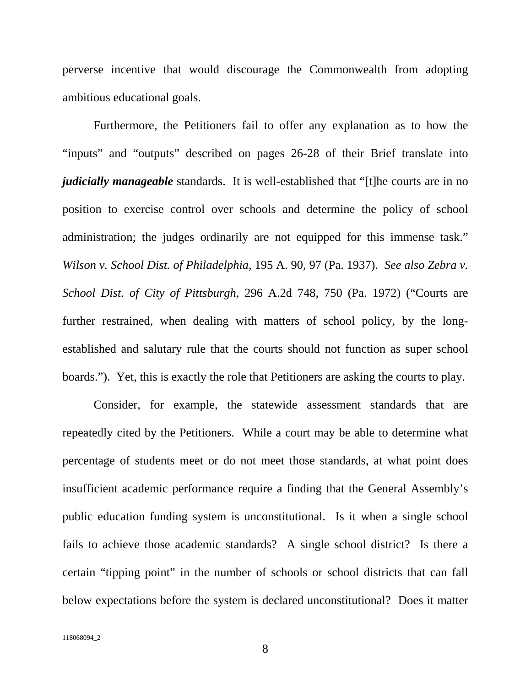perverse incentive that would discourage the Commonwealth from adopting ambitious educational goals.

Furthermore, the Petitioners fail to offer any explanation as to how the "inputs" and "outputs" described on pages 26-28 of their Brief translate into *judicially manageable* standards. It is well-established that "[t]he courts are in no position to exercise control over schools and determine the policy of school administration; the judges ordinarily are not equipped for this immense task." *Wilson v. School Dist. of Philadelphia*, 195 A. 90, 97 (Pa. 1937). *See also Zebra v. School Dist. of City of Pittsburgh*, 296 A.2d 748, 750 (Pa. 1972) ("Courts are further restrained, when dealing with matters of school policy, by the longestablished and salutary rule that the courts should not function as super school boards."). Yet, this is exactly the role that Petitioners are asking the courts to play.

Consider, for example, the statewide assessment standards that are repeatedly cited by the Petitioners. While a court may be able to determine what percentage of students meet or do not meet those standards, at what point does insufficient academic performance require a finding that the General Assembly's public education funding system is unconstitutional. Is it when a single school fails to achieve those academic standards? A single school district? Is there a certain "tipping point" in the number of schools or school districts that can fall below expectations before the system is declared unconstitutional? Does it matter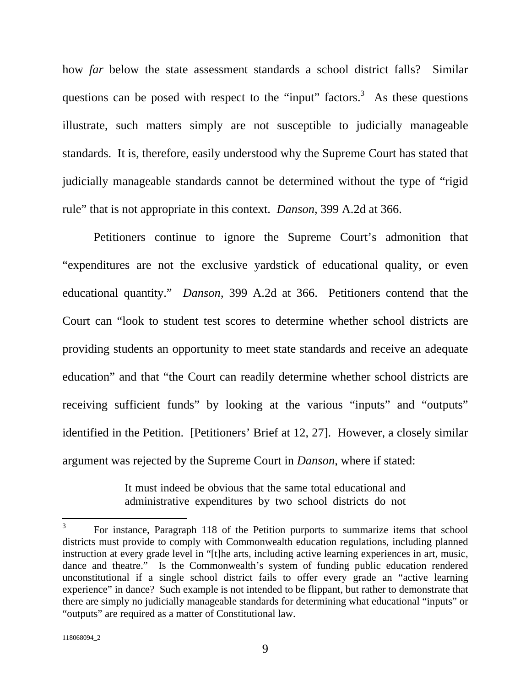how *far* below the state assessment standards a school district falls? Similar questions can be posed with respect to the "input" factors.<sup>3</sup> As these questions illustrate, such matters simply are not susceptible to judicially manageable standards. It is, therefore, easily understood why the Supreme Court has stated that judicially manageable standards cannot be determined without the type of "rigid rule" that is not appropriate in this context. *Danson*, 399 A.2d at 366.

Petitioners continue to ignore the Supreme Court's admonition that "expenditures are not the exclusive yardstick of educational quality, or even educational quantity." *Danson*, 399 A.2d at 366. Petitioners contend that the Court can "look to student test scores to determine whether school districts are providing students an opportunity to meet state standards and receive an adequate education" and that "the Court can readily determine whether school districts are receiving sufficient funds" by looking at the various "inputs" and "outputs" identified in the Petition. [Petitioners' Brief at 12, 27]. However, a closely similar argument was rejected by the Supreme Court in *Danson*, where if stated:

> It must indeed be obvious that the same total educational and administrative expenditures by two school districts do not

 $\overline{a}$ 

<sup>3</sup> For instance, Paragraph 118 of the Petition purports to summarize items that school districts must provide to comply with Commonwealth education regulations, including planned instruction at every grade level in "[t]he arts, including active learning experiences in art, music, dance and theatre." Is the Commonwealth's system of funding public education rendered unconstitutional if a single school district fails to offer every grade an "active learning experience" in dance? Such example is not intended to be flippant, but rather to demonstrate that there are simply no judicially manageable standards for determining what educational "inputs" or "outputs" are required as a matter of Constitutional law.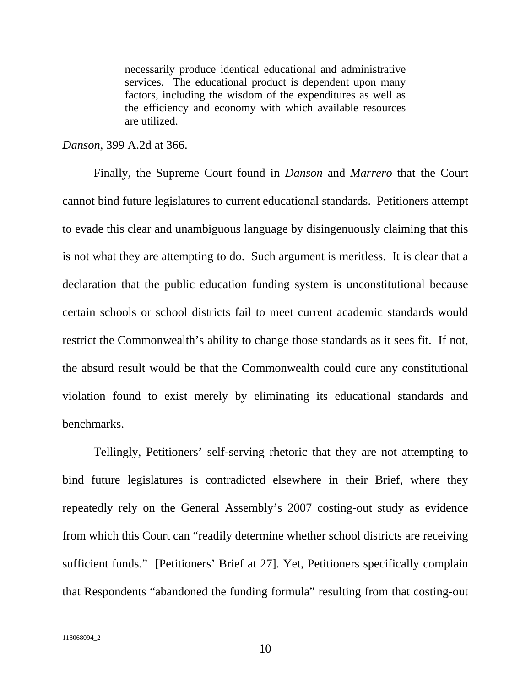necessarily produce identical educational and administrative services. The educational product is dependent upon many factors, including the wisdom of the expenditures as well as the efficiency and economy with which available resources are utilized.

#### *Danson*, 399 A.2d at 366.

Finally, the Supreme Court found in *Danson* and *Marrero* that the Court cannot bind future legislatures to current educational standards. Petitioners attempt to evade this clear and unambiguous language by disingenuously claiming that this is not what they are attempting to do. Such argument is meritless. It is clear that a declaration that the public education funding system is unconstitutional because certain schools or school districts fail to meet current academic standards would restrict the Commonwealth's ability to change those standards as it sees fit. If not, the absurd result would be that the Commonwealth could cure any constitutional violation found to exist merely by eliminating its educational standards and benchmarks.

Tellingly, Petitioners' self-serving rhetoric that they are not attempting to bind future legislatures is contradicted elsewhere in their Brief, where they repeatedly rely on the General Assembly's 2007 costing-out study as evidence from which this Court can "readily determine whether school districts are receiving sufficient funds." [Petitioners' Brief at 27]. Yet, Petitioners specifically complain that Respondents "abandoned the funding formula" resulting from that costing-out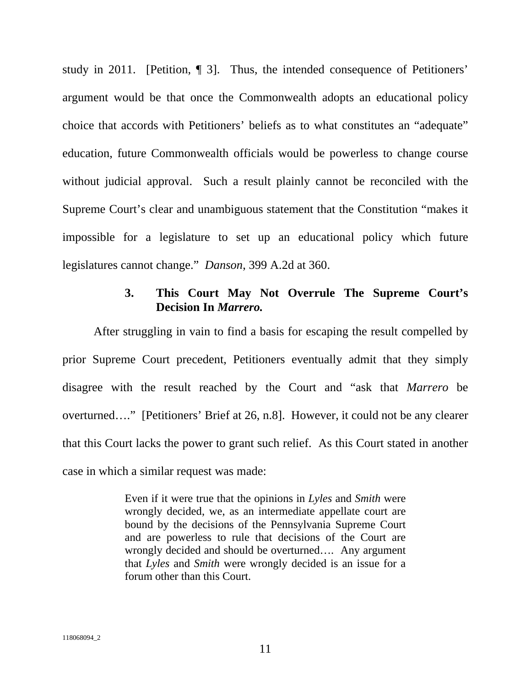study in 2011. [Petition, ¶ 3]. Thus, the intended consequence of Petitioners' argument would be that once the Commonwealth adopts an educational policy choice that accords with Petitioners' beliefs as to what constitutes an "adequate" education, future Commonwealth officials would be powerless to change course without judicial approval. Such a result plainly cannot be reconciled with the Supreme Court's clear and unambiguous statement that the Constitution "makes it impossible for a legislature to set up an educational policy which future legislatures cannot change." *Danson*, 399 A.2d at 360.

## **3. This Court May Not Overrule The Supreme Court's Decision In** *Marrero.*

After struggling in vain to find a basis for escaping the result compelled by prior Supreme Court precedent, Petitioners eventually admit that they simply disagree with the result reached by the Court and "ask that *Marrero* be overturned…." [Petitioners' Brief at 26, n.8]. However, it could not be any clearer that this Court lacks the power to grant such relief. As this Court stated in another case in which a similar request was made:

> Even if it were true that the opinions in *Lyles* and *Smith* were wrongly decided, we, as an intermediate appellate court are bound by the decisions of the Pennsylvania Supreme Court and are powerless to rule that decisions of the Court are wrongly decided and should be overturned…. Any argument that *Lyles* and *Smith* were wrongly decided is an issue for a forum other than this Court.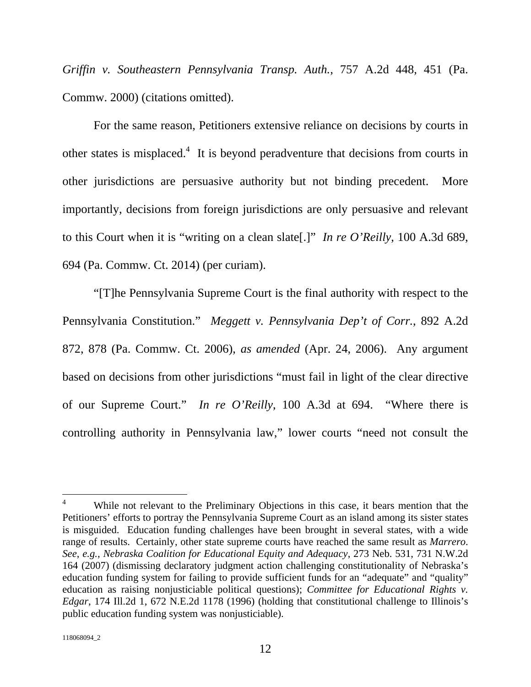*Griffin v. Southeastern Pennsylvania Transp. Auth.*, 757 A.2d 448, 451 (Pa. Commw. 2000) (citations omitted).

For the same reason, Petitioners extensive reliance on decisions by courts in other states is misplaced.<sup>4</sup> It is beyond peradventure that decisions from courts in other jurisdictions are persuasive authority but not binding precedent. More importantly, decisions from foreign jurisdictions are only persuasive and relevant to this Court when it is "writing on a clean slate[.]" *In re O'Reilly*, 100 A.3d 689, 694 (Pa. Commw. Ct. 2014) (per curiam).

"[T]he Pennsylvania Supreme Court is the final authority with respect to the Pennsylvania Constitution." *Meggett v. Pennsylvania Dep't of Corr.*, 892 A.2d 872, 878 (Pa. Commw. Ct. 2006), *as amended* (Apr. 24, 2006). Any argument based on decisions from other jurisdictions "must fail in light of the clear directive of our Supreme Court." *In re O'Reilly*, 100 A.3d at 694. "Where there is controlling authority in Pennsylvania law," lower courts "need not consult the

 $\overline{a}$ 

<sup>4</sup> While not relevant to the Preliminary Objections in this case, it bears mention that the Petitioners' efforts to portray the Pennsylvania Supreme Court as an island among its sister states is misguided. Education funding challenges have been brought in several states, with a wide range of results. Certainly, other state supreme courts have reached the same result as *Marrero*. *See*, *e.g.*, *Nebraska Coalition for Educational Equity and Adequacy*, 273 Neb. 531, 731 N.W.2d 164 (2007) (dismissing declaratory judgment action challenging constitutionality of Nebraska's education funding system for failing to provide sufficient funds for an "adequate" and "quality" education as raising nonjusticiable political questions); *Committee for Educational Rights v. Edgar*, 174 Ill.2d 1, 672 N.E.2d 1178 (1996) (holding that constitutional challenge to Illinois's public education funding system was nonjusticiable).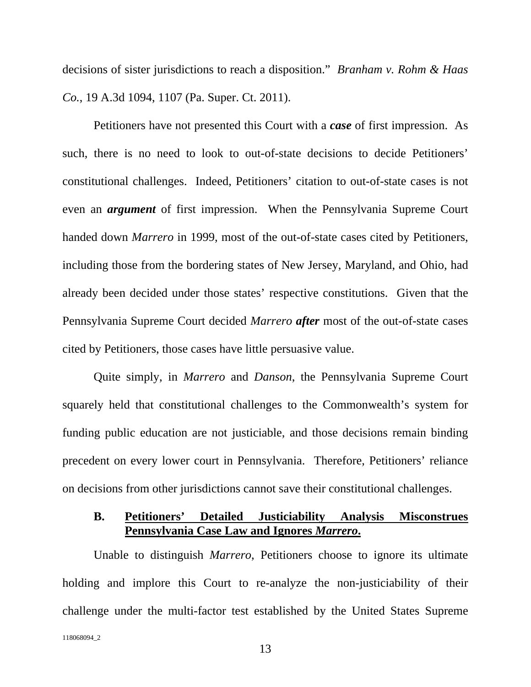decisions of sister jurisdictions to reach a disposition." *Branham v. Rohm & Haas Co.*, 19 A.3d 1094, 1107 (Pa. Super. Ct. 2011).

Petitioners have not presented this Court with a *case* of first impression. As such, there is no need to look to out-of-state decisions to decide Petitioners' constitutional challenges. Indeed, Petitioners' citation to out-of-state cases is not even an *argument* of first impression. When the Pennsylvania Supreme Court handed down *Marrero* in 1999, most of the out-of-state cases cited by Petitioners, including those from the bordering states of New Jersey, Maryland, and Ohio, had already been decided under those states' respective constitutions. Given that the Pennsylvania Supreme Court decided *Marrero after* most of the out-of-state cases cited by Petitioners, those cases have little persuasive value.

Quite simply, in *Marrero* and *Danson*, the Pennsylvania Supreme Court squarely held that constitutional challenges to the Commonwealth's system for funding public education are not justiciable, and those decisions remain binding precedent on every lower court in Pennsylvania. Therefore, Petitioners' reliance on decisions from other jurisdictions cannot save their constitutional challenges.

## **B. Petitioners' Detailed Justiciability Analysis Misconstrues Pennsylvania Case Law and Ignores** *Marrero***.**

118068094\_2 Unable to distinguish *Marrero*, Petitioners choose to ignore its ultimate holding and implore this Court to re-analyze the non-justiciability of their challenge under the multi-factor test established by the United States Supreme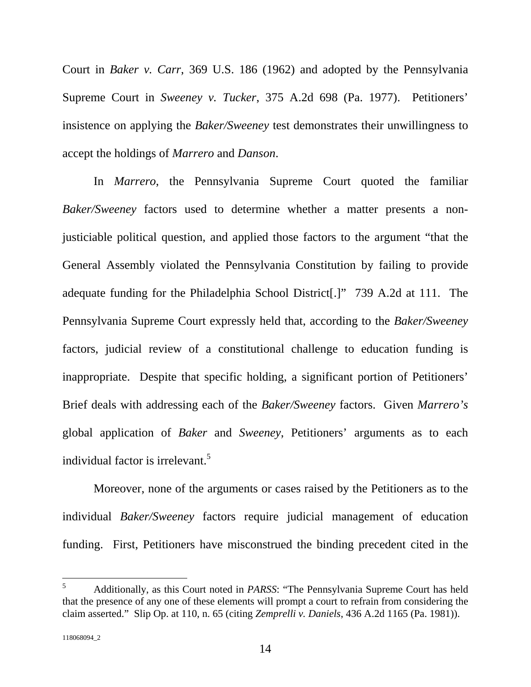Court in *Baker v. Carr*, 369 U.S. 186 (1962) and adopted by the Pennsylvania Supreme Court in *Sweeney v. Tucker*, 375 A.2d 698 (Pa. 1977). Petitioners' insistence on applying the *Baker/Sweeney* test demonstrates their unwillingness to accept the holdings of *Marrero* and *Danson*.

In *Marrero*, the Pennsylvania Supreme Court quoted the familiar *Baker/Sweeney* factors used to determine whether a matter presents a nonjusticiable political question, and applied those factors to the argument "that the General Assembly violated the Pennsylvania Constitution by failing to provide adequate funding for the Philadelphia School District[.]" 739 A.2d at 111. The Pennsylvania Supreme Court expressly held that, according to the *Baker/Sweeney* factors, judicial review of a constitutional challenge to education funding is inappropriate. Despite that specific holding, a significant portion of Petitioners' Brief deals with addressing each of the *Baker/Sweeney* factors. Given *Marrero's* global application of *Baker* and *Sweeney*, Petitioners' arguments as to each individual factor is irrelevant.<sup>5</sup>

Moreover, none of the arguments or cases raised by the Petitioners as to the individual *Baker/Sweeney* factors require judicial management of education funding. First, Petitioners have misconstrued the binding precedent cited in the

 5 Additionally, as this Court noted in *PARSS*: "The Pennsylvania Supreme Court has held that the presence of any one of these elements will prompt a court to refrain from considering the claim asserted." Slip Op. at 110, n. 65 (citing *Zemprelli v. Daniels*, 436 A.2d 1165 (Pa. 1981)).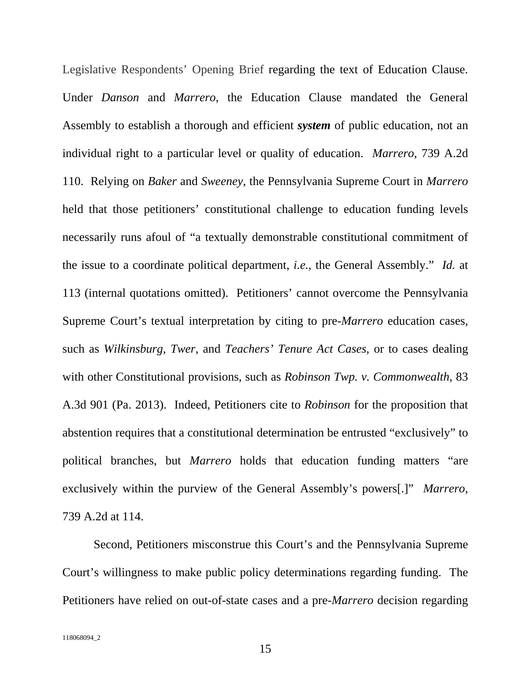Legislative Respondents' Opening Brief regarding the text of Education Clause. Under *Danson* and *Marrero*, the Education Clause mandated the General Assembly to establish a thorough and efficient *system* of public education, not an individual right to a particular level or quality of education. *Marrero*, 739 A.2d 110. Relying on *Baker* and *Sweeney*, the Pennsylvania Supreme Court in *Marrero* held that those petitioners' constitutional challenge to education funding levels necessarily runs afoul of "a textually demonstrable constitutional commitment of the issue to a coordinate political department, *i.e.*, the General Assembly." *Id.* at 113 (internal quotations omitted). Petitioners' cannot overcome the Pennsylvania Supreme Court's textual interpretation by citing to pre-*Marrero* education cases, such as *Wilkinsburg*, *Twer*, and *Teachers' Tenure Act Cases*, or to cases dealing with other Constitutional provisions, such as *Robinson Twp. v. Commonwealth*, 83 A.3d 901 (Pa. 2013). Indeed, Petitioners cite to *Robinson* for the proposition that abstention requires that a constitutional determination be entrusted "exclusively" to political branches, but *Marrero* holds that education funding matters "are exclusively within the purview of the General Assembly's powers[.]" *Marrero*, 739 A.2d at 114.

Second, Petitioners misconstrue this Court's and the Pennsylvania Supreme Court's willingness to make public policy determinations regarding funding. The Petitioners have relied on out-of-state cases and a pre-*Marrero* decision regarding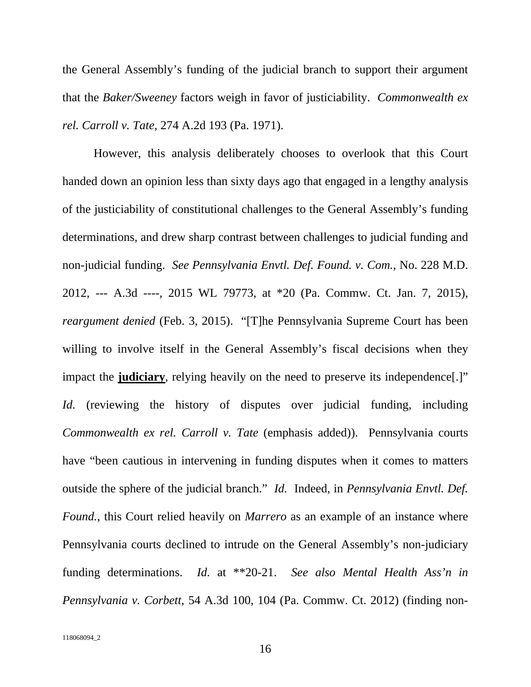the General Assembly's funding of the judicial branch to support their argument that the *Baker/Sweeney* factors weigh in favor of justiciability. *Commonwealth ex rel. Carroll v. Tate*, 274 A.2d 193 (Pa. 1971).

However, this analysis deliberately chooses to overlook that this Court handed down an opinion less than sixty days ago that engaged in a lengthy analysis of the justiciability of constitutional challenges to the General Assembly's funding determinations, and drew sharp contrast between challenges to judicial funding and non-judicial funding. *See Pennsylvania Envtl. Def. Found. v. Com.*, No. 228 M.D. 2012, --- A.3d ----, 2015 WL 79773, at \*20 (Pa. Commw. Ct. Jan. 7, 2015), *reargument denied* (Feb. 3, 2015). "[T]he Pennsylvania Supreme Court has been willing to involve itself in the General Assembly's fiscal decisions when they impact the **judiciary**, relying heavily on the need to preserve its independence[.]" *Id.* (reviewing the history of disputes over judicial funding, including *Commonwealth ex rel. Carroll v. Tate* (emphasis added)). Pennsylvania courts have "been cautious in intervening in funding disputes when it comes to matters outside the sphere of the judicial branch." *Id.* Indeed, in *Pennsylvania Envtl. Def. Found.*, this Court relied heavily on *Marrero* as an example of an instance where Pennsylvania courts declined to intrude on the General Assembly's non-judiciary funding determinations. *Id.* at \*\*20-21. *See also Mental Health Ass'n in Pennsylvania v. Corbett*, 54 A.3d 100, 104 (Pa. Commw. Ct. 2012) (finding non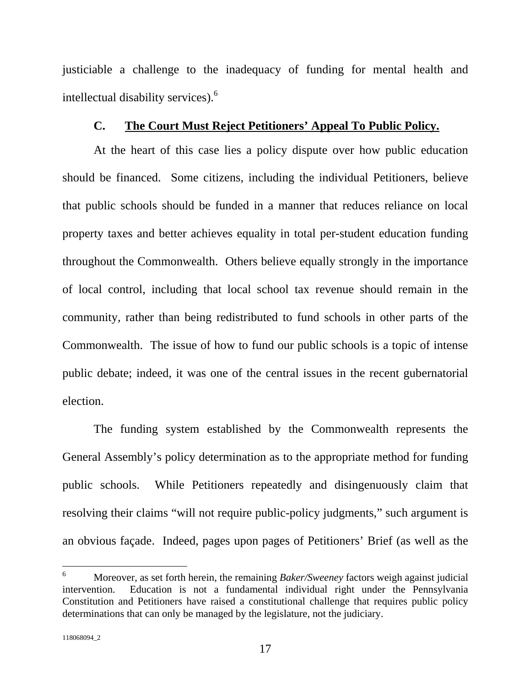justiciable a challenge to the inadequacy of funding for mental health and intellectual disability services).<sup>6</sup>

#### **C. The Court Must Reject Petitioners' Appeal To Public Policy.**

At the heart of this case lies a policy dispute over how public education should be financed. Some citizens, including the individual Petitioners, believe that public schools should be funded in a manner that reduces reliance on local property taxes and better achieves equality in total per-student education funding throughout the Commonwealth. Others believe equally strongly in the importance of local control, including that local school tax revenue should remain in the community, rather than being redistributed to fund schools in other parts of the Commonwealth. The issue of how to fund our public schools is a topic of intense public debate; indeed, it was one of the central issues in the recent gubernatorial election.

The funding system established by the Commonwealth represents the General Assembly's policy determination as to the appropriate method for funding public schools. While Petitioners repeatedly and disingenuously claim that resolving their claims "will not require public-policy judgments," such argument is an obvious façade. Indeed, pages upon pages of Petitioners' Brief (as well as the

 6 Moreover, as set forth herein, the remaining *Baker/Sweeney* factors weigh against judicial intervention. Education is not a fundamental individual right under the Pennsylvania Constitution and Petitioners have raised a constitutional challenge that requires public policy determinations that can only be managed by the legislature, not the judiciary.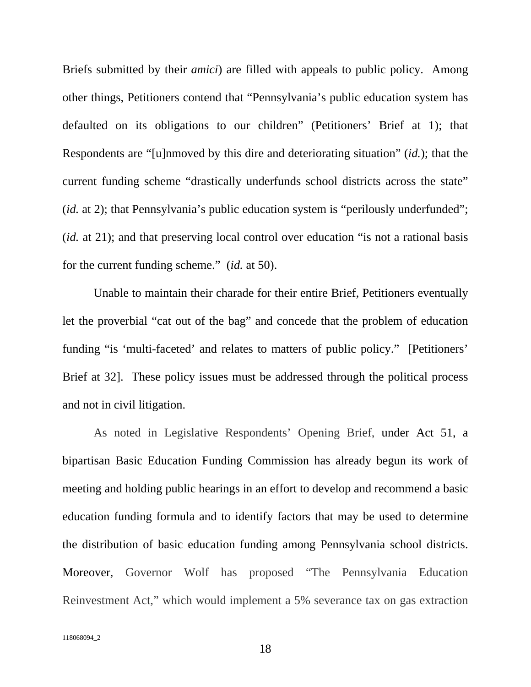Briefs submitted by their *amici*) are filled with appeals to public policy. Among other things, Petitioners contend that "Pennsylvania's public education system has defaulted on its obligations to our children" (Petitioners' Brief at 1); that Respondents are "[u]nmoved by this dire and deteriorating situation" (*id.*); that the current funding scheme "drastically underfunds school districts across the state" (*id.* at 2); that Pennsylvania's public education system is "perilously underfunded"; (*id.* at 21); and that preserving local control over education "is not a rational basis for the current funding scheme." (*id.* at 50).

Unable to maintain their charade for their entire Brief, Petitioners eventually let the proverbial "cat out of the bag" and concede that the problem of education funding "is 'multi-faceted' and relates to matters of public policy." [Petitioners' Brief at 32]. These policy issues must be addressed through the political process and not in civil litigation.

As noted in Legislative Respondents' Opening Brief, under Act 51, a bipartisan Basic Education Funding Commission has already begun its work of meeting and holding public hearings in an effort to develop and recommend a basic education funding formula and to identify factors that may be used to determine the distribution of basic education funding among Pennsylvania school districts. Moreover, Governor Wolf has proposed "The Pennsylvania Education Reinvestment Act," which would implement a 5% severance tax on gas extraction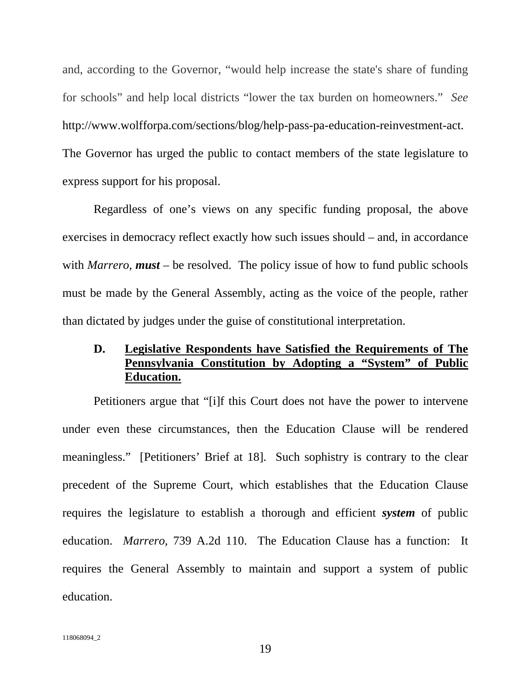and, according to the Governor, "would help increase the state's share of funding for schools" and help local districts "lower the tax burden on homeowners." *See*  http://www.wolfforpa.com/sections/blog/help-pass-pa-education-reinvestment-act. The Governor has urged the public to contact members of the state legislature to express support for his proposal.

Regardless of one's views on any specific funding proposal, the above exercises in democracy reflect exactly how such issues should – and, in accordance with *Marrero*, **must** – be resolved. The policy issue of how to fund public schools must be made by the General Assembly, acting as the voice of the people, rather than dictated by judges under the guise of constitutional interpretation.

# **D. Legislative Respondents have Satisfied the Requirements of The Pennsylvania Constitution by Adopting a "System" of Public Education.**

Petitioners argue that "[i]f this Court does not have the power to intervene under even these circumstances, then the Education Clause will be rendered meaningless." [Petitioners' Brief at 18]. Such sophistry is contrary to the clear precedent of the Supreme Court, which establishes that the Education Clause requires the legislature to establish a thorough and efficient *system* of public education. *Marrero*, 739 A.2d 110. The Education Clause has a function: It requires the General Assembly to maintain and support a system of public education.

19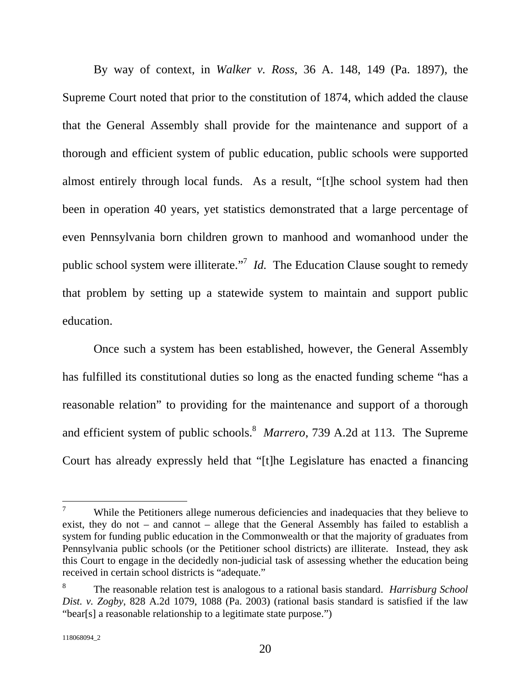By way of context, in *Walker v. Ross*, 36 A. 148, 149 (Pa. 1897), the Supreme Court noted that prior to the constitution of 1874, which added the clause that the General Assembly shall provide for the maintenance and support of a thorough and efficient system of public education, public schools were supported almost entirely through local funds. As a result, "[t]he school system had then been in operation 40 years, yet statistics demonstrated that a large percentage of even Pennsylvania born children grown to manhood and womanhood under the public school system were illiterate."<sup>7</sup> *Id*. The Education Clause sought to remedy that problem by setting up a statewide system to maintain and support public education.

Once such a system has been established, however, the General Assembly has fulfilled its constitutional duties so long as the enacted funding scheme "has a reasonable relation" to providing for the maintenance and support of a thorough and efficient system of public schools.<sup>8</sup> Marrero, 739 A.2d at 113. The Supreme Court has already expressly held that "[t]he Legislature has enacted a financing

<sup>—&</sup>lt;br>7 While the Petitioners allege numerous deficiencies and inadequacies that they believe to exist, they do not – and cannot – allege that the General Assembly has failed to establish a system for funding public education in the Commonwealth or that the majority of graduates from Pennsylvania public schools (or the Petitioner school districts) are illiterate. Instead, they ask this Court to engage in the decidedly non-judicial task of assessing whether the education being received in certain school districts is "adequate."

<sup>8</sup> The reasonable relation test is analogous to a rational basis standard. *Harrisburg School Dist. v. Zogby*, 828 A.2d 1079, 1088 (Pa. 2003) (rational basis standard is satisfied if the law "bear[s] a reasonable relationship to a legitimate state purpose.")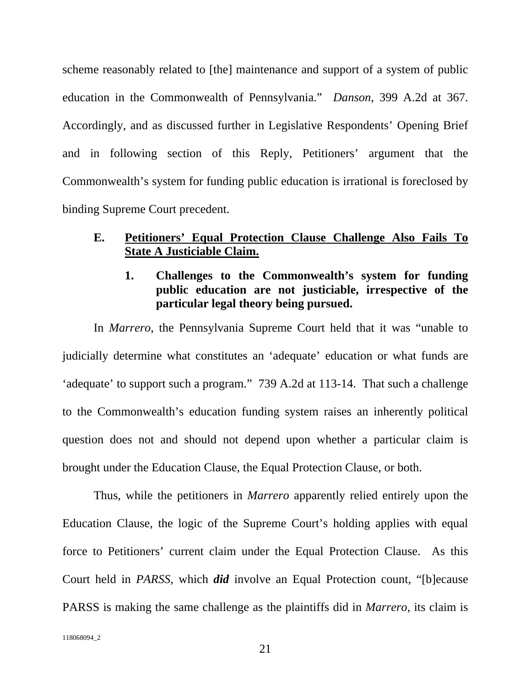scheme reasonably related to [the] maintenance and support of a system of public education in the Commonwealth of Pennsylvania." *Danson*, 399 A.2d at 367. Accordingly, and as discussed further in Legislative Respondents' Opening Brief and in following section of this Reply, Petitioners' argument that the Commonwealth's system for funding public education is irrational is foreclosed by binding Supreme Court precedent.

#### **E. Petitioners' Equal Protection Clause Challenge Also Fails To State A Justiciable Claim.**

## **1. Challenges to the Commonwealth's system for funding public education are not justiciable, irrespective of the particular legal theory being pursued.**

In *Marrero*, the Pennsylvania Supreme Court held that it was "unable to judicially determine what constitutes an 'adequate' education or what funds are 'adequate' to support such a program." 739 A.2d at 113-14. That such a challenge to the Commonwealth's education funding system raises an inherently political question does not and should not depend upon whether a particular claim is brought under the Education Clause, the Equal Protection Clause, or both.

Thus, while the petitioners in *Marrero* apparently relied entirely upon the Education Clause, the logic of the Supreme Court's holding applies with equal force to Petitioners' current claim under the Equal Protection Clause. As this Court held in *PARSS*, which *did* involve an Equal Protection count, "[b]ecause PARSS is making the same challenge as the plaintiffs did in *Marrero*, its claim is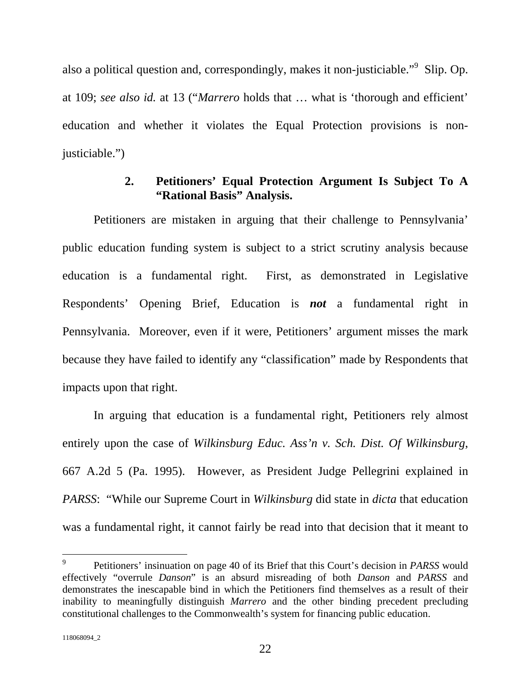also a political question and, correspondingly, makes it non-justiciable."<sup>9</sup> Slip. Op. at 109; *see also id.* at 13 ("*Marrero* holds that … what is 'thorough and efficient' education and whether it violates the Equal Protection provisions is nonjusticiable.")

## **2. Petitioners' Equal Protection Argument Is Subject To A "Rational Basis" Analysis.**

Petitioners are mistaken in arguing that their challenge to Pennsylvania' public education funding system is subject to a strict scrutiny analysis because education is a fundamental right. First, as demonstrated in Legislative Respondents' Opening Brief, Education is *not* a fundamental right in Pennsylvania. Moreover, even if it were, Petitioners' argument misses the mark because they have failed to identify any "classification" made by Respondents that impacts upon that right.

In arguing that education is a fundamental right, Petitioners rely almost entirely upon the case of *Wilkinsburg Educ. Ass'n v. Sch. Dist. Of Wilkinsburg*, 667 A.2d 5 (Pa. 1995). However, as President Judge Pellegrini explained in *PARSS*: "While our Supreme Court in *Wilkinsburg* did state in *dicta* that education was a fundamental right, it cannot fairly be read into that decision that it meant to

 $\overline{a}$ 

<sup>9</sup> Petitioners' insinuation on page 40 of its Brief that this Court's decision in *PARSS* would effectively "overrule *Danson*" is an absurd misreading of both *Danson* and *PARSS* and demonstrates the inescapable bind in which the Petitioners find themselves as a result of their inability to meaningfully distinguish *Marrero* and the other binding precedent precluding constitutional challenges to the Commonwealth's system for financing public education.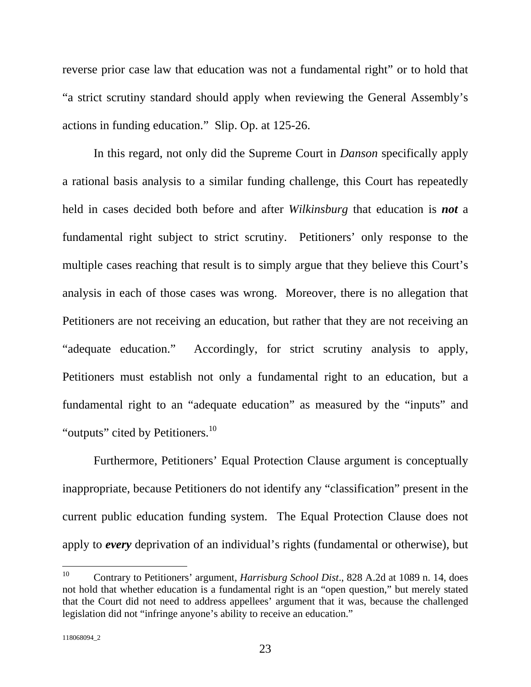reverse prior case law that education was not a fundamental right" or to hold that "a strict scrutiny standard should apply when reviewing the General Assembly's actions in funding education." Slip. Op. at 125-26.

In this regard, not only did the Supreme Court in *Danson* specifically apply a rational basis analysis to a similar funding challenge, this Court has repeatedly held in cases decided both before and after *Wilkinsburg* that education is *not* a fundamental right subject to strict scrutiny. Petitioners' only response to the multiple cases reaching that result is to simply argue that they believe this Court's analysis in each of those cases was wrong. Moreover, there is no allegation that Petitioners are not receiving an education, but rather that they are not receiving an "adequate education." Accordingly, for strict scrutiny analysis to apply, Petitioners must establish not only a fundamental right to an education, but a fundamental right to an "adequate education" as measured by the "inputs" and "outputs" cited by Petitioners.<sup>10</sup>

Furthermore, Petitioners' Equal Protection Clause argument is conceptually inappropriate, because Petitioners do not identify any "classification" present in the current public education funding system. The Equal Protection Clause does not apply to *every* deprivation of an individual's rights (fundamental or otherwise), but

<sup>10</sup> 10 Contrary to Petitioners' argument, *Harrisburg School Dist*., 828 A.2d at 1089 n. 14, does not hold that whether education is a fundamental right is an "open question," but merely stated that the Court did not need to address appellees' argument that it was, because the challenged legislation did not "infringe anyone's ability to receive an education."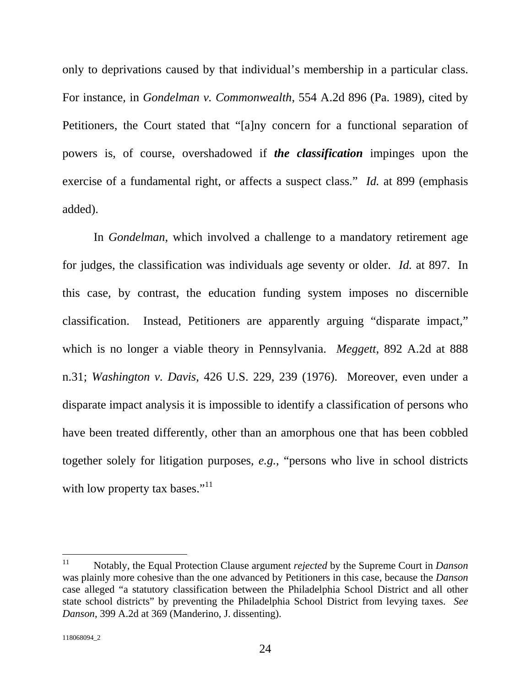only to deprivations caused by that individual's membership in a particular class. For instance, in *Gondelman v. Commonwealth*, 554 A.2d 896 (Pa. 1989), cited by Petitioners, the Court stated that "[a]ny concern for a functional separation of powers is, of course, overshadowed if *the classification* impinges upon the exercise of a fundamental right, or affects a suspect class." *Id.* at 899 (emphasis added).

In *Gondelman*, which involved a challenge to a mandatory retirement age for judges, the classification was individuals age seventy or older. *Id.* at 897. In this case, by contrast, the education funding system imposes no discernible classification. Instead, Petitioners are apparently arguing "disparate impact," which is no longer a viable theory in Pennsylvania. *Meggett*, 892 A.2d at 888 n.31; *Washington v. Davis*, 426 U.S. 229, 239 (1976). Moreover, even under a disparate impact analysis it is impossible to identify a classification of persons who have been treated differently, other than an amorphous one that has been cobbled together solely for litigation purposes, *e.g.*, "persons who live in school districts with low property tax bases." $^{11}$ 

 $11$ 11 Notably, the Equal Protection Clause argument *rejected* by the Supreme Court in *Danson* was plainly more cohesive than the one advanced by Petitioners in this case, because the *Danson* case alleged "a statutory classification between the Philadelphia School District and all other state school districts" by preventing the Philadelphia School District from levying taxes. *See Danson*, 399 A.2d at 369 (Manderino, J. dissenting).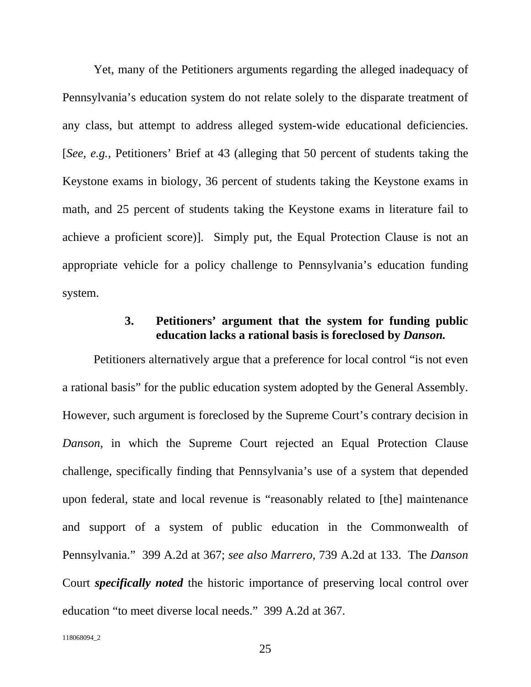Yet, many of the Petitioners arguments regarding the alleged inadequacy of Pennsylvania's education system do not relate solely to the disparate treatment of any class, but attempt to address alleged system-wide educational deficiencies. [*See*, *e.g.*, Petitioners' Brief at 43 (alleging that 50 percent of students taking the Keystone exams in biology, 36 percent of students taking the Keystone exams in math, and 25 percent of students taking the Keystone exams in literature fail to achieve a proficient score)]. Simply put, the Equal Protection Clause is not an appropriate vehicle for a policy challenge to Pennsylvania's education funding system.

## **3. Petitioners' argument that the system for funding public education lacks a rational basis is foreclosed by** *Danson.*

Petitioners alternatively argue that a preference for local control "is not even a rational basis" for the public education system adopted by the General Assembly. However, such argument is foreclosed by the Supreme Court's contrary decision in *Danson*, in which the Supreme Court rejected an Equal Protection Clause challenge, specifically finding that Pennsylvania's use of a system that depended upon federal, state and local revenue is "reasonably related to [the] maintenance and support of a system of public education in the Commonwealth of Pennsylvania." 399 A.2d at 367; *see also Marrero*, 739 A.2d at 133. The *Danson* Court *specifically noted* the historic importance of preserving local control over education "to meet diverse local needs." 399 A.2d at 367.

118068094\_2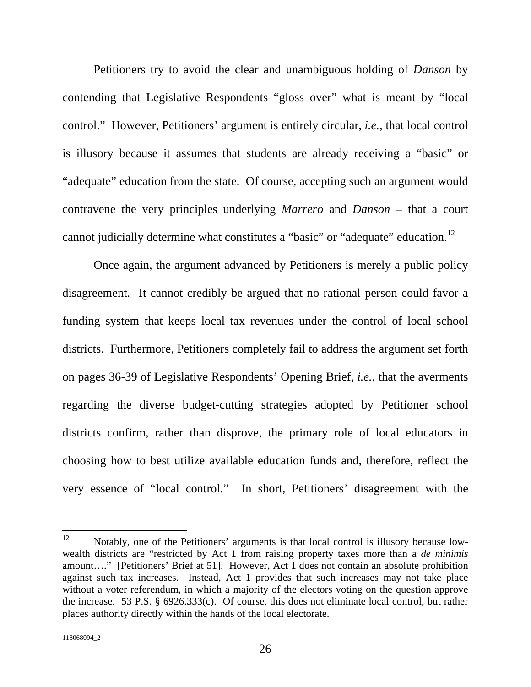Petitioners try to avoid the clear and unambiguous holding of *Danson* by contending that Legislative Respondents "gloss over" what is meant by "local control." However, Petitioners' argument is entirely circular, *i.e.*, that local control is illusory because it assumes that students are already receiving a "basic" or "adequate" education from the state. Of course, accepting such an argument would contravene the very principles underlying *Marrero* and *Danson* – that a court cannot judicially determine what constitutes a "basic" or "adequate" education.<sup>12</sup>

Once again, the argument advanced by Petitioners is merely a public policy disagreement. It cannot credibly be argued that no rational person could favor a funding system that keeps local tax revenues under the control of local school districts. Furthermore, Petitioners completely fail to address the argument set forth on pages 36-39 of Legislative Respondents' Opening Brief, *i.e.*, that the averments regarding the diverse budget-cutting strategies adopted by Petitioner school districts confirm, rather than disprove, the primary role of local educators in choosing how to best utilize available education funds and, therefore, reflect the very essence of "local control." In short, Petitioners' disagreement with the

<sup>12</sup> Notably, one of the Petitioners' arguments is that local control is illusory because lowwealth districts are "restricted by Act 1 from raising property taxes more than a *de minimis*  amount…." [Petitioners' Brief at 51]. However, Act 1 does not contain an absolute prohibition against such tax increases. Instead, Act 1 provides that such increases may not take place without a voter referendum, in which a majority of the electors voting on the question approve the increase. 53 P.S. § 6926.333(c). Of course, this does not eliminate local control, but rather places authority directly within the hands of the local electorate.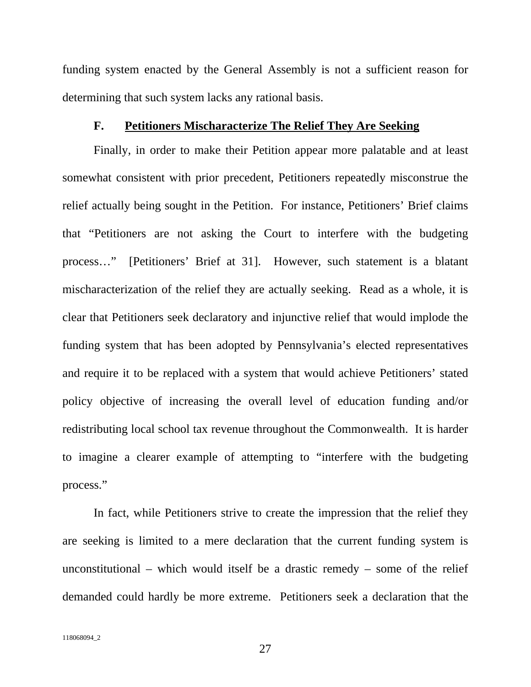funding system enacted by the General Assembly is not a sufficient reason for determining that such system lacks any rational basis.

#### **F. Petitioners Mischaracterize The Relief They Are Seeking**

Finally, in order to make their Petition appear more palatable and at least somewhat consistent with prior precedent, Petitioners repeatedly misconstrue the relief actually being sought in the Petition. For instance, Petitioners' Brief claims that "Petitioners are not asking the Court to interfere with the budgeting process…" [Petitioners' Brief at 31]. However, such statement is a blatant mischaracterization of the relief they are actually seeking. Read as a whole, it is clear that Petitioners seek declaratory and injunctive relief that would implode the funding system that has been adopted by Pennsylvania's elected representatives and require it to be replaced with a system that would achieve Petitioners' stated policy objective of increasing the overall level of education funding and/or redistributing local school tax revenue throughout the Commonwealth. It is harder to imagine a clearer example of attempting to "interfere with the budgeting process."

In fact, while Petitioners strive to create the impression that the relief they are seeking is limited to a mere declaration that the current funding system is unconstitutional – which would itself be a drastic remedy – some of the relief demanded could hardly be more extreme. Petitioners seek a declaration that the

27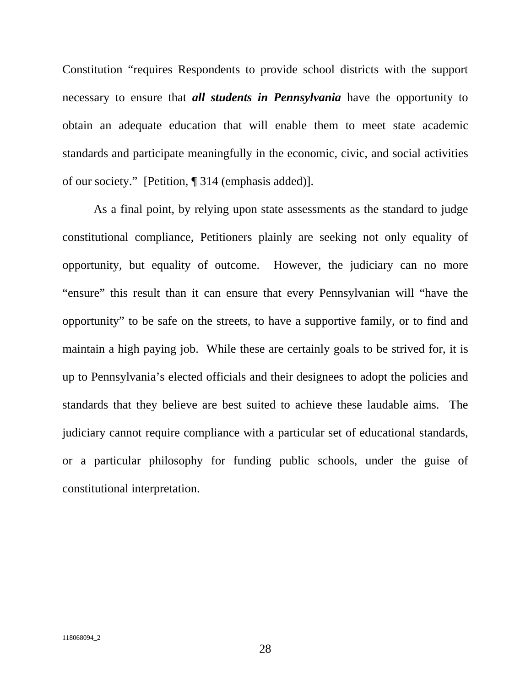Constitution "requires Respondents to provide school districts with the support necessary to ensure that *all students in Pennsylvania* have the opportunity to obtain an adequate education that will enable them to meet state academic standards and participate meaningfully in the economic, civic, and social activities of our society." [Petition, ¶ 314 (emphasis added)].

As a final point, by relying upon state assessments as the standard to judge constitutional compliance, Petitioners plainly are seeking not only equality of opportunity, but equality of outcome. However, the judiciary can no more "ensure" this result than it can ensure that every Pennsylvanian will "have the opportunity" to be safe on the streets, to have a supportive family, or to find and maintain a high paying job. While these are certainly goals to be strived for, it is up to Pennsylvania's elected officials and their designees to adopt the policies and standards that they believe are best suited to achieve these laudable aims. The judiciary cannot require compliance with a particular set of educational standards, or a particular philosophy for funding public schools, under the guise of constitutional interpretation.

28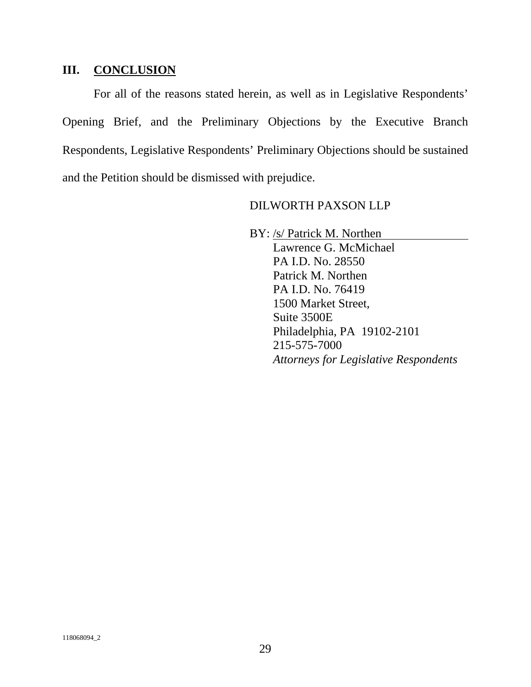#### **III. CONCLUSION**

For all of the reasons stated herein, as well as in Legislative Respondents' Opening Brief, and the Preliminary Objections by the Executive Branch Respondents, Legislative Respondents' Preliminary Objections should be sustained and the Petition should be dismissed with prejudice.

#### DILWORTH PAXSON LLP

BY: /s/ Patrick M. Northen

 Lawrence G. McMichael PA I.D. No. 28550 Patrick M. Northen PA I.D. No. 76419 1500 Market Street, Suite 3500E Philadelphia, PA 19102-2101 215-575-7000 *Attorneys for Legislative Respondents*